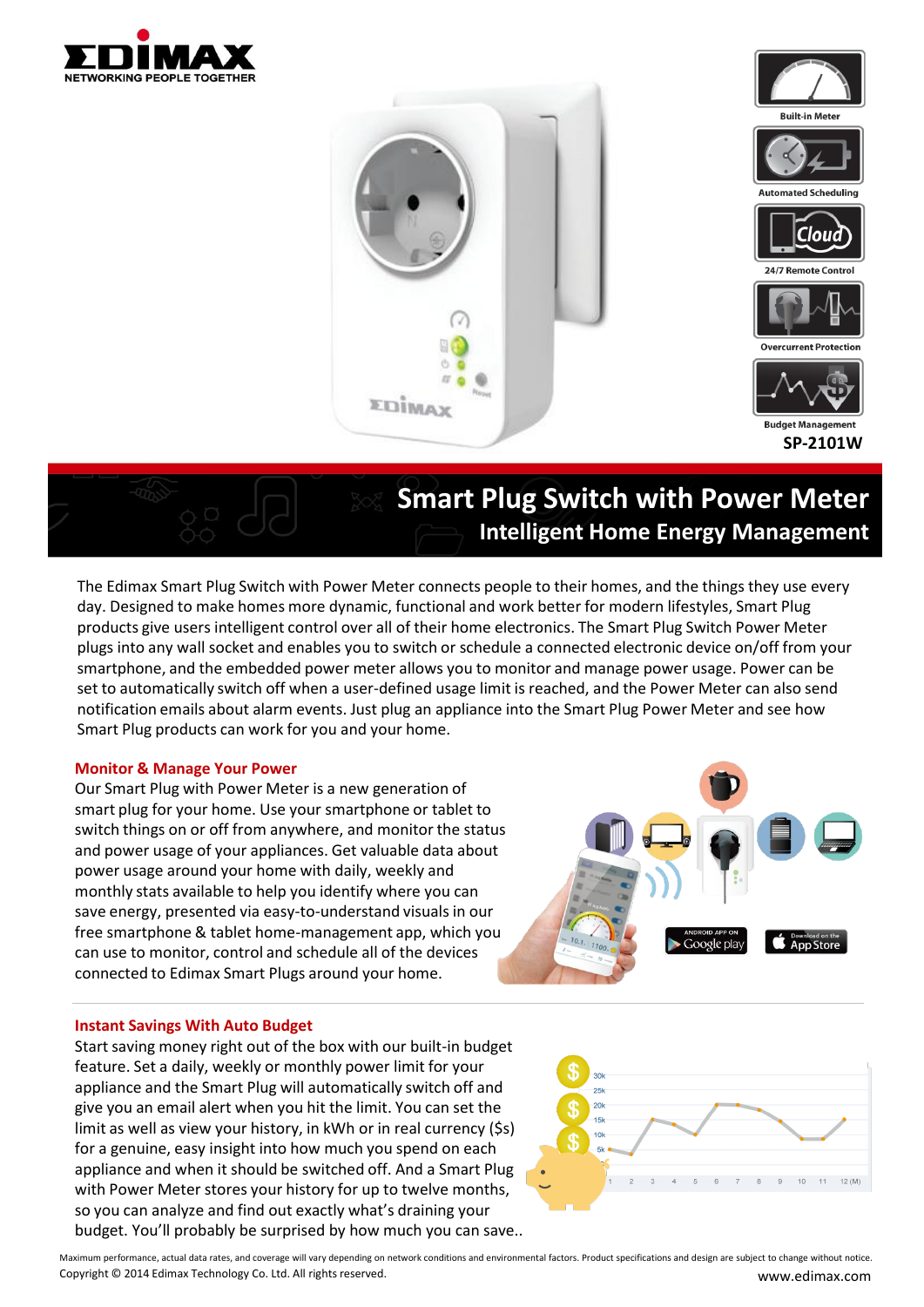



# **Smart Plug Switch with Power Meter Intelligent Home Energy Management**

The Edimax Smart Plug Switch with Power Meter connects people to their homes, and the things they use every day. Designed to make homes more dynamic, functional and work better for modern lifestyles, Smart Plug products give users intelligent control over all of their home electronics. The Smart Plug Switch Power Meter plugs into any wall socket and enables you to switch or schedule a connected electronic device on/off from your smartphone, and the embedded power meter allows you to monitor and manage power usage. Power can be set to automatically switch off when a user-defined usage limit is reached, and the Power Meter can also send notification emails about alarm events. Just plug an appliance into the Smart Plug Power Meter and see how Smart Plug products can work for you and your home.

#### **Monitor & Manage Your Power**

Our Smart Plug with Power Meter is a new generation of smart plug for your home. Use your smartphone or tablet to switch things on or off from anywhere, and monitor the status and power usage of your appliances. Get valuable data about power usage around your home with daily, weekly and monthly stats available to help you identify where you can save energy, presented via easy-to-understand visuals in our free smartphone & tablet home-management app, which you can use to monitor, control and schedule all of the devices connected to Edimax Smart Plugs around your home.



#### **Instant Savings With Auto Budget**

Start saving money right out of the box with our built-in budget feature. Set a daily, weekly or monthly power limit for your appliance and the Smart Plug will automatically switch off and give you an email alert when you hit the limit. You can set the limit as well as view your history, in kWh or in real currency (\$s) for a genuine, easy insight into how much you spend on each appliance and when it should be switched off. And a Smart Plug with Power Meter stores your history for up to twelve months, so you can analyze and find out exactly what's draining your budget. You'll probably be surprised by how much you can save..



Copyright © 2014 Edimax Technology Co. Ltd. All rights reserved. www.edimax.com Maximum performance, actual data rates, and coverage will vary depending on network conditions and environmental factors. Product specifications and design are subject to change without notice.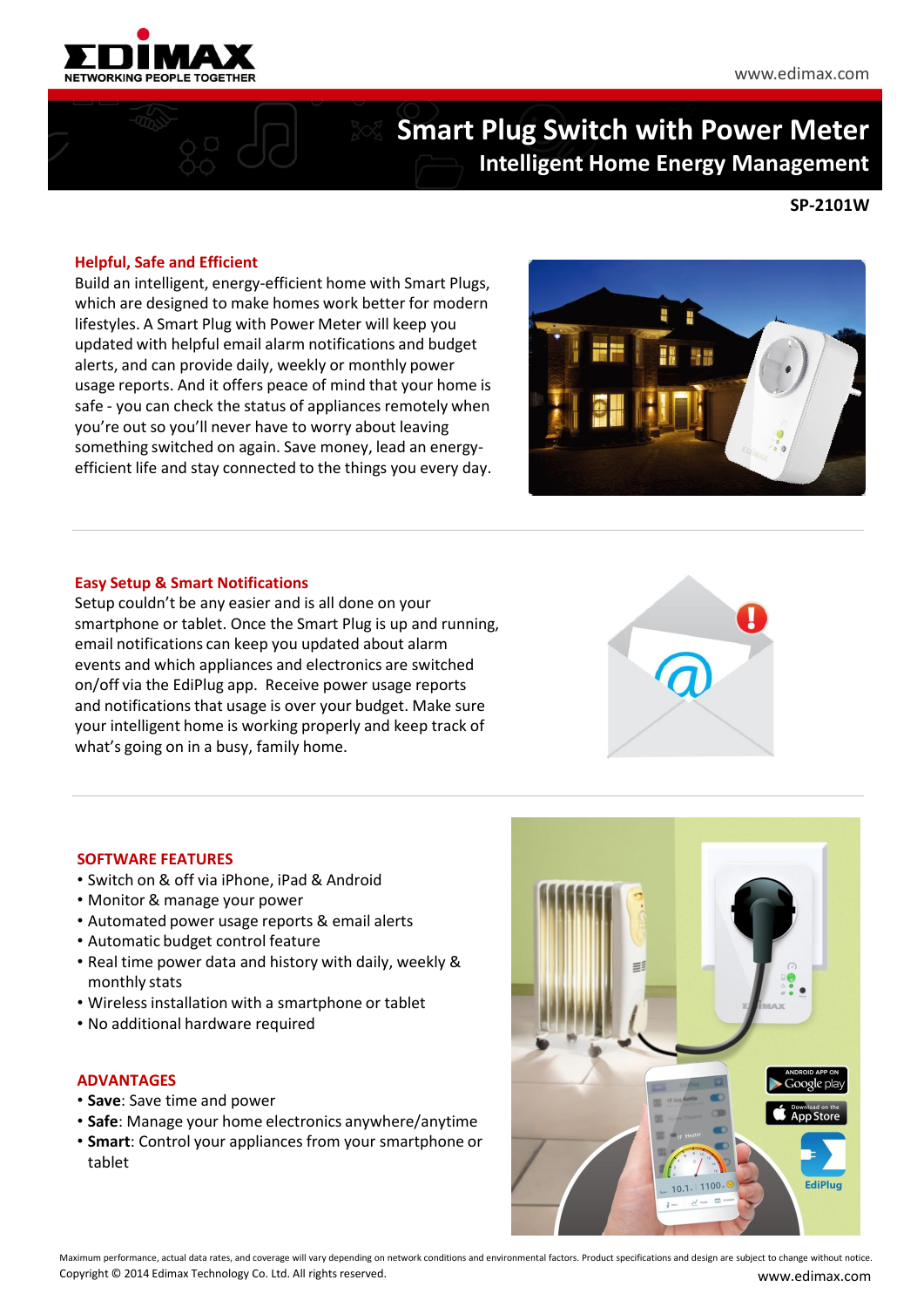

## **Smart Plug Switch with Power Meter Intelligent Home Energy Management**

#### **SP-2101W**

#### **Helpful, Safe and Efficient**

Build an intelligent, energy-efficient home with Smart Plugs, which are designed to make homes work better for modern lifestyles. A Smart Plug with Power Meter will keep you updated with helpful email alarm notifications and budget alerts, and can provide daily, weekly or monthly power usage reports. And it offers peace of mind that your home is safe - you can check the status of appliances remotely when you're out so you'll never have to worry about leaving something switched on again. Save money, lead an energyefficient life and stay connected to the things you every day.



#### **Easy Setup & Smart Notifications**

Setup couldn't be any easier and is all done on your smartphone or tablet. Once the Smart Plug is up and running, email notifications can keep you updated about alarm events and which appliances and electronics are switched on/off via the EdiPlug app. Receive power usage reports and notifications that usage is over your budget. Make sure your intelligent home is working properly and keep track of what's going on in a busy, family home.



#### **SOFTWARE FEATURES**

- Switch on & off via iPhone, iPad & Android
- Monitor & manage your power
- Automated power usage reports & email alerts
- Automatic budget control feature
- Real time power data and history with daily, weekly & monthly stats
- Wireless installation with a smartphone or tablet
- No additional hardware required

#### **ADVANTAGES**

- **Save**: Save time and power
- **Safe**: Manage your home electronics anywhere/anytime
- **Smart**: Control your appliances from your smartphone or tablet



Copyright © 2014 Edimax Technology Co. Ltd. All rights reserved. www.edimax.com Maximum performance, actual data rates, and coverage will vary depending on network conditions and environmental factors. Product specifications and design are subject to change without notice.